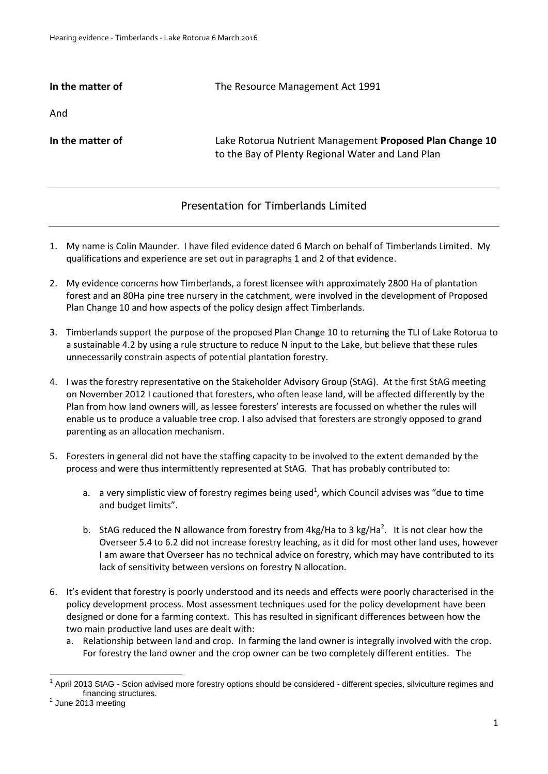## **In the matter of The Resource Management Act 1991**

And

**In the matter of** Lake Rotorua Nutrient Management **Proposed Plan Change 10**  to the Bay of Plenty Regional Water and Land Plan

## Presentation for Timberlands Limited

- 1. My name is Colin Maunder. I have filed evidence dated 6 March on behalf of Timberlands Limited. My qualifications and experience are set out in paragraphs 1 and 2 of that evidence.
- 2. My evidence concerns how Timberlands, a forest licensee with approximately 2800 Ha of plantation forest and an 80Ha pine tree nursery in the catchment, were involved in the development of Proposed Plan Change 10 and how aspects of the policy design affect Timberlands.
- 3. Timberlands support the purpose of the proposed Plan Change 10 to returning the TLI of Lake Rotorua to a sustainable 4.2 by using a rule structure to reduce N input to the Lake, but believe that these rules unnecessarily constrain aspects of potential plantation forestry.
- 4. I was the forestry representative on the Stakeholder Advisory Group (StAG). At the first StAG meeting on November 2012 I cautioned that foresters, who often lease land, will be affected differently by the Plan from how land owners will, as lessee foresters' interests are focussed on whether the rules will enable us to produce a valuable tree crop. I also advised that foresters are strongly opposed to grand parenting as an allocation mechanism.
- 5. Foresters in general did not have the staffing capacity to be involved to the extent demanded by the process and were thus intermittently represented at StAG. That has probably contributed to:
	- a. a very simplistic view of forestry regimes being used<sup>1</sup>, which Council advises was "due to time and budget limits".
	- b. StAG reduced the N allowance from forestry from  $4kg/Ha$  to 3 kg/Ha<sup>2</sup>. It is not clear how the Overseer 5.4 to 6.2 did not increase forestry leaching, as it did for most other land uses, however I am aware that Overseer has no technical advice on forestry, which may have contributed to its lack of sensitivity between versions on forestry N allocation.
- 6. It's evident that forestry is poorly understood and its needs and effects were poorly characterised in the policy development process. Most assessment techniques used for the policy development have been designed or done for a farming context. This has resulted in significant differences between how the two main productive land uses are dealt with:
	- a. Relationship between land and crop. In farming the land owner is integrally involved with the crop. For forestry the land owner and the crop owner can be two completely different entities. The

 $\overline{a}$ 

<sup>&</sup>lt;sup>1</sup> April 2013 StAG - Scion advised more forestry options should be considered - different species, silviculture regimes and financing structures.

 $2$  June 2013 meeting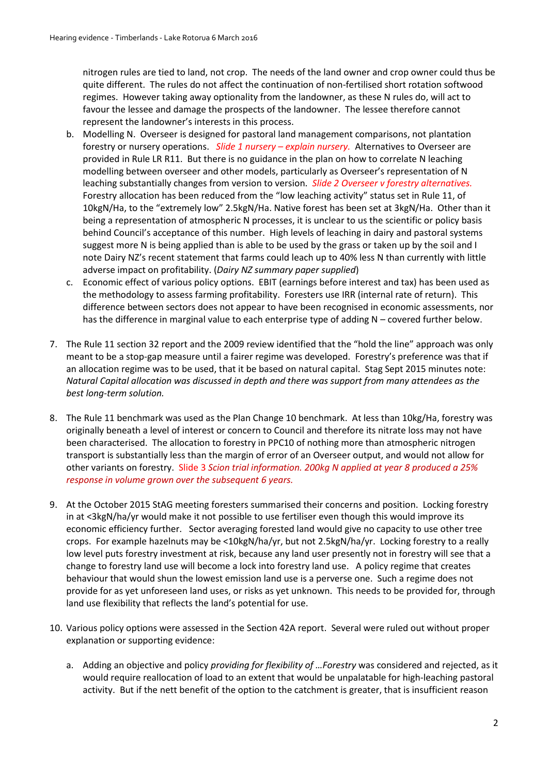nitrogen rules are tied to land, not crop. The needs of the land owner and crop owner could thus be quite different. The rules do not affect the continuation of non-fertilised short rotation softwood regimes. However taking away optionality from the landowner, as these N rules do, will act to favour the lessee and damage the prospects of the landowner. The lessee therefore cannot represent the landowner's interests in this process.

- b. Modelling N. Overseer is designed for pastoral land management comparisons, not plantation forestry or nursery operations. *Slide 1 nursery – explain nursery.* Alternatives to Overseer are provided in Rule LR R11. But there is no guidance in the plan on how to correlate N leaching modelling between overseer and other models, particularly as Overseer's representation of N leaching substantially changes from version to version. *Slide 2 Overseer v forestry alternatives.* Forestry allocation has been reduced from the "low leaching activity" status set in Rule 11, of 10kgN/Ha, to the "extremely low" 2.5kgN/Ha. Native forest has been set at 3kgN/Ha. Other than it being a representation of atmospheric N processes, it is unclear to us the scientific or policy basis behind Council's acceptance of this number. High levels of leaching in dairy and pastoral systems suggest more N is being applied than is able to be used by the grass or taken up by the soil and I note Dairy NZ's recent statement that farms could leach up to 40% less N than currently with little adverse impact on profitability. (*Dairy NZ summary paper supplied*)
- c. Economic effect of various policy options. EBIT (earnings before interest and tax) has been used as the methodology to assess farming profitability. Foresters use IRR (internal rate of return). This difference between sectors does not appear to have been recognised in economic assessments, nor has the difference in marginal value to each enterprise type of adding N – covered further below.
- 7. The Rule 11 section 32 report and the 2009 review identified that the "hold the line" approach was only meant to be a stop-gap measure until a fairer regime was developed. Forestry's preference was that if an allocation regime was to be used, that it be based on natural capital. Stag Sept 2015 minutes note: *Natural Capital allocation was discussed in depth and there was support from many attendees as the best long-term solution.*
- 8. The Rule 11 benchmark was used as the Plan Change 10 benchmark. At less than 10kg/Ha, forestry was originally beneath a level of interest or concern to Council and therefore its nitrate loss may not have been characterised. The allocation to forestry in PPC10 of nothing more than atmospheric nitrogen transport is substantially less than the margin of error of an Overseer output, and would not allow for other variants on forestry. Slide 3 *Scion trial information. 200kg N applied at year 8 produced a 25% response in volume grown over the subsequent 6 years.*
- 9. At the October 2015 StAG meeting foresters summarised their concerns and position. Locking forestry in at <3kgN/ha/yr would make it not possible to use fertiliser even though this would improve its economic efficiency further. Sector averaging forested land would give no capacity to use other tree crops. For example hazelnuts may be <10kgN/ha/yr, but not 2.5kgN/ha/yr. Locking forestry to a really low level puts forestry investment at risk, because any land user presently not in forestry will see that a change to forestry land use will become a lock into forestry land use. A policy regime that creates behaviour that would shun the lowest emission land use is a perverse one. Such a regime does not provide for as yet unforeseen land uses, or risks as yet unknown. This needs to be provided for, through land use flexibility that reflects the land's potential for use.
- 10. Various policy options were assessed in the Section 42A report. Several were ruled out without proper explanation or supporting evidence:
	- a. Adding an objective and policy *providing for flexibility of …Forestry* was considered and rejected, as it would require reallocation of load to an extent that would be unpalatable for high-leaching pastoral activity. But if the nett benefit of the option to the catchment is greater, that is insufficient reason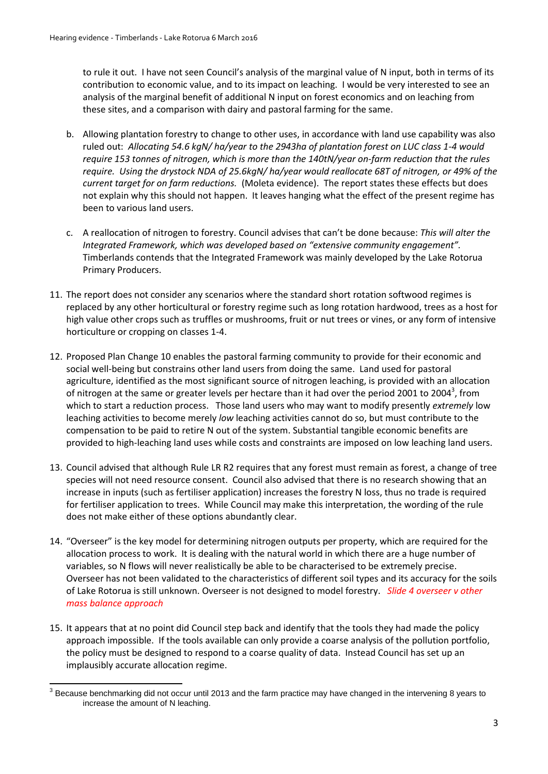to rule it out. I have not seen Council's analysis of the marginal value of N input, both in terms of its contribution to economic value, and to its impact on leaching. I would be very interested to see an analysis of the marginal benefit of additional N input on forest economics and on leaching from these sites, and a comparison with dairy and pastoral farming for the same.

- b. Allowing plantation forestry to change to other uses, in accordance with land use capability was also ruled out: *Allocating 54.6 kgN/ ha/year to the 2943ha of plantation forest on LUC class 1-4 would require 153 tonnes of nitrogen, which is more than the 140tN/year on-farm reduction that the rules require. Using the drystock NDA of 25.6kgN/ ha/year would reallocate 68T of nitrogen, or 49% of the current target for on farm reductions.* (Moleta evidence). The report states these effects but does not explain why this should not happen. It leaves hanging what the effect of the present regime has been to various land users.
- c. A reallocation of nitrogen to forestry. Council advises that can't be done because: *This will alter the Integrated Framework, which was developed based on "extensive community engagement".*  Timberlands contends that the Integrated Framework was mainly developed by the Lake Rotorua Primary Producers.
- 11. The report does not consider any scenarios where the standard short rotation softwood regimes is replaced by any other horticultural or forestry regime such as long rotation hardwood, trees as a host for high value other crops such as truffles or mushrooms, fruit or nut trees or vines, or any form of intensive horticulture or cropping on classes 1-4.
- 12. Proposed Plan Change 10 enables the pastoral farming community to provide for their economic and social well-being but constrains other land users from doing the same. Land used for pastoral agriculture, identified as the most significant source of nitrogen leaching, is provided with an allocation of nitrogen at the same or greater levels per hectare than it had over the period 2001 to 2004<sup>3</sup>, from which to start a reduction process. Those land users who may want to modify presently *extremely* low leaching activities to become merely *low* leaching activities cannot do so, but must contribute to the compensation to be paid to retire N out of the system. Substantial tangible economic benefits are provided to high-leaching land uses while costs and constraints are imposed on low leaching land users.
- 13. Council advised that although Rule LR R2 requires that any forest must remain as forest, a change of tree species will not need resource consent. Council also advised that there is no research showing that an increase in inputs (such as fertiliser application) increases the forestry N loss, thus no trade is required for fertiliser application to trees. While Council may make this interpretation, the wording of the rule does not make either of these options abundantly clear.
- 14. "Overseer" is the key model for determining nitrogen outputs per property, which are required for the allocation process to work. It is dealing with the natural world in which there are a huge number of variables, so N flows will never realistically be able to be characterised to be extremely precise. Overseer has not been validated to the characteristics of different soil types and its accuracy for the soils of Lake Rotorua is still unknown. Overseer is not designed to model forestry. *Slide 4 overseer v other mass balance approach*
- 15. It appears that at no point did Council step back and identify that the tools they had made the policy approach impossible. If the tools available can only provide a coarse analysis of the pollution portfolio, the policy must be designed to respond to a coarse quality of data. Instead Council has set up an implausibly accurate allocation regime.

**<sup>.</sup>**  $3$  Because benchmarking did not occur until 2013 and the farm practice may have changed in the intervening 8 years to increase the amount of N leaching.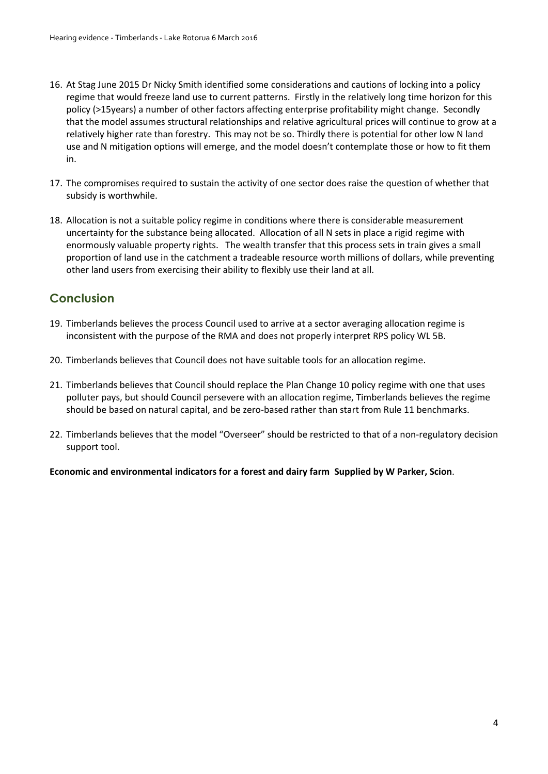- 16. At Stag June 2015 Dr Nicky Smith identified some considerations and cautions of locking into a policy regime that would freeze land use to current patterns. Firstly in the relatively long time horizon for this policy (>15years) a number of other factors affecting enterprise profitability might change. Secondly that the model assumes structural relationships and relative agricultural prices will continue to grow at a relatively higher rate than forestry. This may not be so. Thirdly there is potential for other low N land use and N mitigation options will emerge, and the model doesn't contemplate those or how to fit them in.
- 17. The compromises required to sustain the activity of one sector does raise the question of whether that subsidy is worthwhile.
- 18. Allocation is not a suitable policy regime in conditions where there is considerable measurement uncertainty for the substance being allocated. Allocation of all N sets in place a rigid regime with enormously valuable property rights. The wealth transfer that this process sets in train gives a small proportion of land use in the catchment a tradeable resource worth millions of dollars, while preventing other land users from exercising their ability to flexibly use their land at all.

## **Conclusion**

- 19. Timberlands believes the process Council used to arrive at a sector averaging allocation regime is inconsistent with the purpose of the RMA and does not properly interpret RPS policy WL 5B.
- 20. Timberlands believes that Council does not have suitable tools for an allocation regime.
- 21. Timberlands believes that Council should replace the Plan Change 10 policy regime with one that uses polluter pays, but should Council persevere with an allocation regime, Timberlands believes the regime should be based on natural capital, and be zero-based rather than start from Rule 11 benchmarks.
- 22. Timberlands believes that the model "Overseer" should be restricted to that of a non-regulatory decision support tool.

**Economic and environmental indicators for a forest and dairy farm Supplied by W Parker, Scion**.